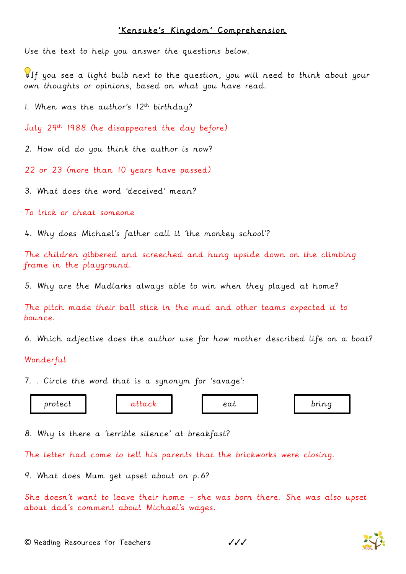## 'Kensuke's Kingdom' Comprehension

Use the text to help you answer the questions below.

If you see a light bulb next to the question, you will need to think about your own thoughts or opinions, based on what you have read.

1. When was the author's  $12^{th}$  birthday?

July 29th 1988 (he disappeared the day before)

2. How old do you think the author is now?

22 or 23 (more than 10 years have passed)

3. What does the word 'deceived' mean?

To trick or cheat someone

4. Why does Michael's father call it 'the monkey school'?

The children gibbered and screeched and hung upside down on the climbing frame in the playground.

5. Why are the Mudlarks always able to win when they played at home?

The pitch made their ball stick in the mud and other teams expected it to bounce.

6. Which adjective does the author use for how mother described life on a boat?

## Wonderful

7. . Circle the word that is a synonym for 'savage':

protect | attack | eat | bring

8. Why is there a 'terrible silence' at breakfast?

The letter had come to tell his parents that the brickworks were closing.

9. What does Mum get upset about on p.6?

She doesn't want to leave their home – she was born there. She was also upset about dad's comment about Michael's wages.